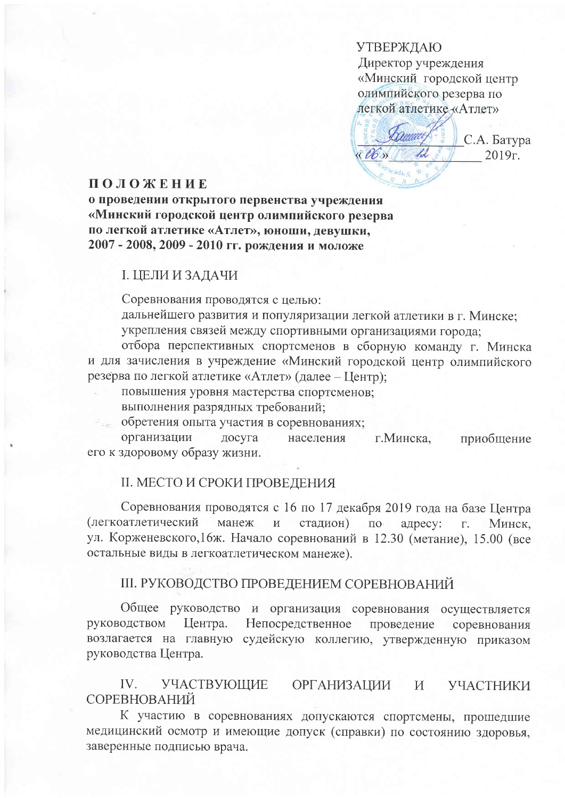**УТВЕРЖДАЮ** Директор учреждения «Минский городской центр олимпийского резерва по легкой атлетике «Атлет»

С.А. Батура  $(06)$  $2019r.$ 

# ПОЛОЖЕНИЕ

о проведении открытого первенства учреждения «Минский городской центр олимпийского резерва по легкой атлетике «Атлет», юноши, девушки, 2007 - 2008, 2009 - 2010 гг. рождения и моложе

#### І. ЦЕЛИ И ЗАДАЧИ

Соревнования проводятся с целью:

дальнейшего развития и популяризации легкой атлетики в г. Минске; укрепления связей между спортивными организациями города:

отбора перспективных спортсменов в сборную команду г. Минска и для зачисления в учреждение «Минский городской центр олимпийского резерва по легкой атлетике «Атлет» (далее - Центр);

повышения уровня мастерства спортсменов:

выполнения разрядных требований;

обретения опыта участия в соревнованиях;

организации досуга населения г. Минска, приобщение его к здоровому образу жизни.

# II. МЕСТО И СРОКИ ПРОВЕДЕНИЯ

Соревнования проводятся с 16 по 17 декабря 2019 года на базе Центра (легкоатлетический манеж  $\mathbf{H}$ стадион)  $\Pi$ O адресу:  $\Gamma.$ Минск. ул. Корженевского, 16ж. Начало соревнований в 12.30 (метание), 15.00 (все остальные виды в легкоатлетическом манеже).

### III. РУКОВОДСТВО ПРОВЕДЕНИЕМ СОРЕВНОВАНИЙ

Общее руководство и организация соревнования осуществляется руководством Центра. Непосредственное проведение соревнования возлагается на главную судейскую коллегию, утвержденную приказом руководства Центра.

 $IV.$ УЧАСТВУЮЩИЕ **ОРГАНИЗАЦИИ** УЧАСТНИКИ И СОРЕВНОВАНИЙ

К участию в соревнованиях допускаются спортсмены, прошедшие медицинский осмотр и имеющие допуск (справки) по состоянию здоровья, заверенные подписью врача.